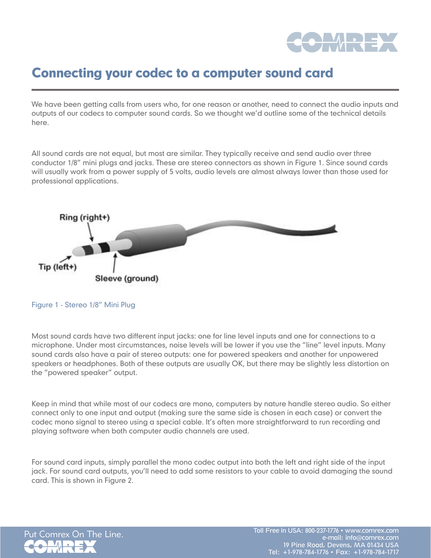

## Connecting your codec to a computer sound card

We have been getting calls from users who, for one reason or another, need to connect the audio inputs and outputs of our codecs to computer sound cards. So we thought we'd outline some of the technical details here.

All sound cards are not equal, but most are similar. They typically receive and send audio over three conductor 1/8" mini plugs and jacks. These are stereo connectors as shown in Figure 1. Since sound cards will usually work from a power supply of 5 volts, audio levels are almost always lower than those used for professional applications.



Figure 1 - Stereo 1/8" Mini Plug

Most sound cards have two different input jacks: one for line level inputs and one for connections to a microphone. Under most circumstances, noise levels will be lower if you use the "line" level inputs. Many sound cards also have a pair of stereo outputs: one for powered speakers and another for unpowered speakers or headphones. Both of these outputs are usually OK, but there may be slightly less distortion on the "powered speaker" output.

Keep in mind that while most of our codecs are mono, computers by nature handle stereo audio. So either connect only to one input and output (making sure the same side is chosen in each case) or convert the codec mono signal to stereo using a special cable. It's often more straightforward to run recording and playing software when both computer audio channels are used.

For sound card inputs, simply parallel the mono codec output into both the left and right side of the input jack. For sound card outputs, you'll need to add some resistors to your cable to avoid damaging the sound card. This is shown in Figure 2.

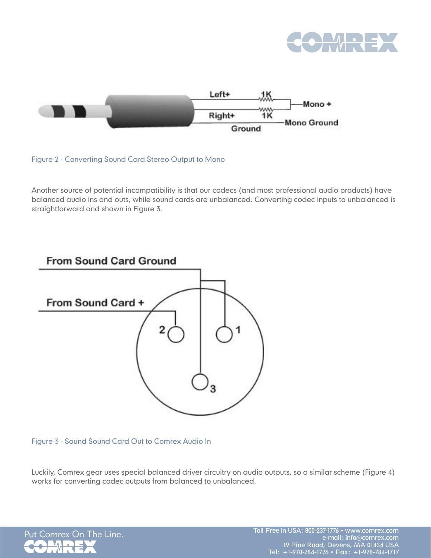



Figure 2 - Converting Sound Card Stereo Output to Mono

Another source of potential incompatibility is that our codecs (and most professional audio products) have balanced audio ins and outs, while sound cards are unbalanced. Converting codec inputs to unbalanced is straightforward and shown in Figure 3.



Figure 3 - Sound Sound Card Out to Comrex Audio In

Luckily, Comrex gear uses special balanced driver circuitry on audio outputs, so a similar scheme (Figure 4) works for converting codec outputs from balanced to unbalanced.